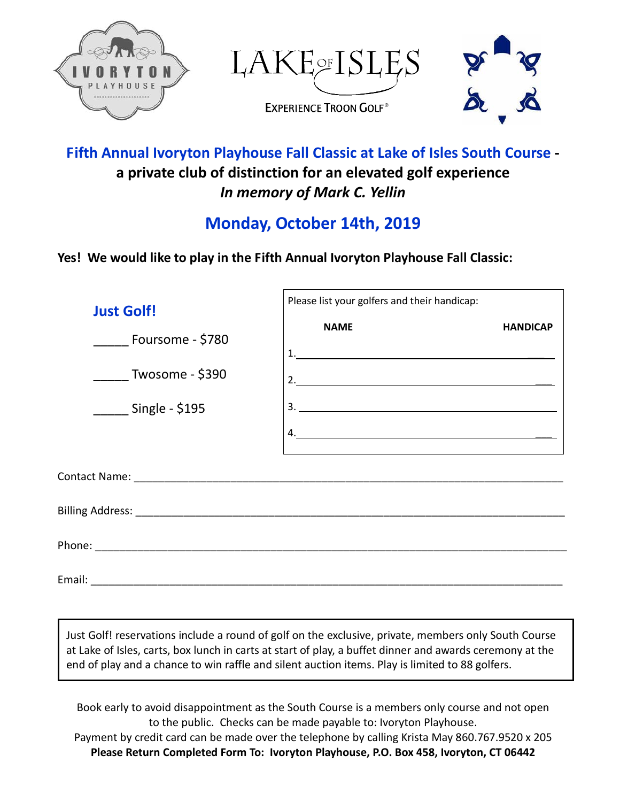

## **Fifth Annual Ivoryton Playhouse Fall Classic at Lake of Isles South Course a private club of distinction for an elevated golf experience** *In memory of Mark C. Yellin*

## **Monday, October 14th, 2019**

## **Yes! We would like to play in the Fifth Annual Ivoryton Playhouse Fall Classic:**

| <b>Just Golf!</b><br>Foursome - \$780<br>Twosome - \$390<br>$Single - $195$                                                                                                                                                         | Please list your golfers and their handicap:<br><b>NAME</b><br>$\begin{array}{c}\n2. & \phantom{2\sqrt{2}}\n\end{array}$<br>4. | <b>HANDICAP</b> |
|-------------------------------------------------------------------------------------------------------------------------------------------------------------------------------------------------------------------------------------|--------------------------------------------------------------------------------------------------------------------------------|-----------------|
| <b>Contact Name:</b> The Contact Name: The Contact Name: The Contact Name: The Contact Name: The Contact Of Contact Name: The Contact Of Contact Of Contact Of Contact Of Contact Of Contact Of Contact Of Contact Of Contact Of Co |                                                                                                                                |                 |
|                                                                                                                                                                                                                                     |                                                                                                                                |                 |
|                                                                                                                                                                                                                                     |                                                                                                                                |                 |

Email: \_\_\_\_\_\_\_\_\_\_\_\_\_\_\_\_\_\_\_\_\_\_\_\_\_\_\_\_\_\_\_\_\_\_\_\_\_\_\_\_\_\_\_\_\_\_\_\_\_\_\_\_\_\_\_\_\_\_\_\_\_\_\_\_\_\_\_\_\_\_\_\_\_\_\_\_\_\_

Just Golf! reservations include a round of golf on the exclusive, private, members only South Course at Lake of Isles, carts, box lunch in carts at start of play, a buffet dinner and awards ceremony at the end of play and a chance to win raffle and silent auction items. Play is limited to 88 golfers.

Book early to avoid disappointment as the South Course is a members only course and not open to the public. Checks can be made payable to: Ivoryton Playhouse. Payment by credit card can be made over the telephone by calling Krista May 860.767.9520 x 205 **Please Return Completed Form To: Ivoryton Playhouse, P.O. Box 458, Ivoryton, CT 06442**